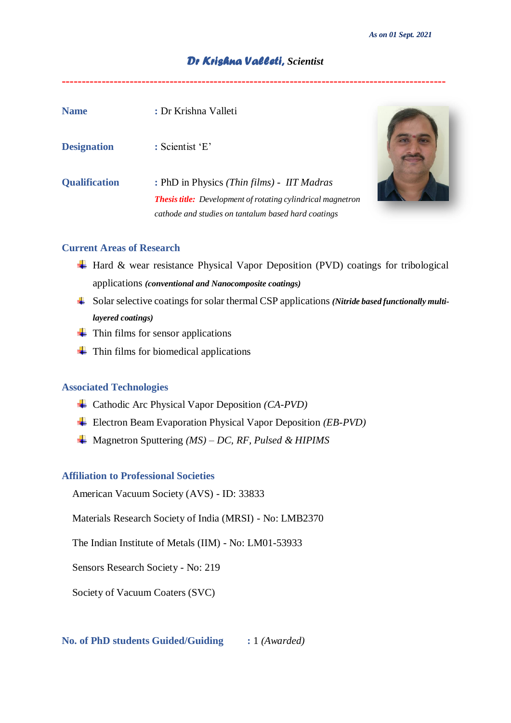*As on 01 Sept. 2021*

**------------------------------------------------------------------------------------------------**

# *Dr Krishna Valleti, Scientist*

| <b>Name</b>          | : Dr Krishna Valleti                                                                                                                                                    |  |
|----------------------|-------------------------------------------------------------------------------------------------------------------------------------------------------------------------|--|
| <b>Designation</b>   | : Scientist 'E'                                                                                                                                                         |  |
| <b>Qualification</b> | : PhD in Physics (Thin films) - IIT Madras<br><b>Thesis title:</b> Development of rotating cylindrical magnetron<br>cathode and studies on tantalum based hard coatings |  |

### **Current Areas of Research**

- $\overline{\text{H}}$  Hard & wear resistance Physical Vapor Deposition (PVD) coatings for tribological applications *(conventional and Nanocomposite coatings)*
- Solar selective coatings for solar thermal CSP applications *(Nitride based functionally multilayered coatings)*
- $\leftarrow$  Thin films for sensor applications
- $\overline{\phantom{a}}$  Thin films for biomedical applications

## **Associated Technologies**

- Cathodic Arc Physical Vapor Deposition *(CA-PVD)*
- Electron Beam Evaporation Physical Vapor Deposition *(EB-PVD)*
- Magnetron Sputtering *(MS) – DC, RF, Pulsed & HIPIMS*

## **Affiliation to Professional Societies**

American Vacuum Society (AVS) - ID: 33833

Materials Research Society of India (MRSI) - No: LMB2370

The Indian Institute of Metals (IIM) - No: LM01-53933

Sensors Research Society - No: 219

Society of Vacuum Coaters (SVC)

**No. of PhD students Guided/Guiding :** 1 *(Awarded)*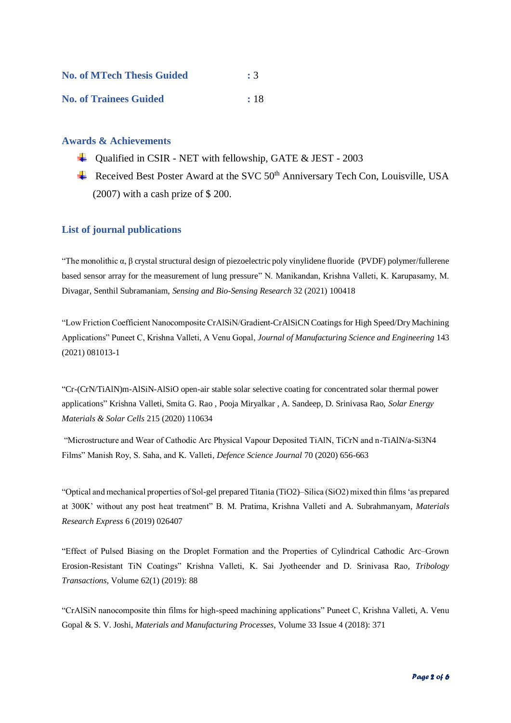| <b>No. of MTech Thesis Guided</b> | : 3      |
|-----------------------------------|----------|
| <b>No. of Trainees Guided</b>     | $\pm$ 18 |

### **Awards & Achievements**

- $\overline{\phantom{a} \bullet}$  Qualified in CSIR NET with fellowship, GATE & JEST 2003
- Received Best Poster Award at the SVC  $50<sup>th</sup>$  Anniversary Tech Con, Louisville, USA (2007) with a cash prize of \$ 200.

### **List of journal publications**

"The monolithic  $\alpha$ ,  $\beta$  crystal structural design of piezoelectric poly vinylidene fluoride (PVDF) polymer/fullerene based sensor array for the measurement of lung pressure" N. Manikandan, Krishna Valleti, K. Karupasamy, M. Divagar, Senthil Subramaniam, *Sensing and Bio-Sensing Research* 32 (2021) 100418

"Low Friction Coefficient Nanocomposite CrAlSiN/Gradient-CrAlSiCN Coatings for High Speed/Dry Machining Applications" Puneet C, Krishna Valleti, A Venu Gopal, *Journal of Manufacturing Science and Engineering* 143 (2021) 081013-1

"Cr-(CrN/TiAlN)m-AlSiN-AlSiO open-air stable solar selective coating for concentrated solar thermal power applications" Krishna Valleti, Smita G. Rao , Pooja Miryalkar , A. Sandeep, D. Srinivasa Rao, *Solar Energy Materials & Solar Cells* 215 (2020) 110634

"Microstructure and Wear of Cathodic Arc Physical Vapour Deposited TiAlN, TiCrN and n-TiAlN/a-Si3N4 Films" Manish Roy, S. Saha, and K. Valleti, *Defence Science Journal* 70 (2020) 656-663

"Optical and mechanical properties of Sol-gel prepared Titania (TiO2)–Silica (SiO2) mixed thin films 'as prepared at 300K' without any post heat treatment" B. M. Pratima, Krishna Valleti and A. Subrahmanyam, *Materials Research Express* 6 (2019) 026407

"Effect of Pulsed Biasing on the Droplet Formation and the Properties of Cylindrical Cathodic Arc–Grown Erosion-Resistant TiN Coatings" Krishna Valleti, K. Sai Jyotheender and D. Srinivasa Rao*, Tribology Transactions*, Volume 62(1) (2019): 88

"CrAlSiN nanocomposite thin films for high-speed machining applications" Puneet C, Krishna Valleti, A. Venu Gopal & S. V. Joshi, *Materials and Manufacturing Processes*, Volume 33 Issue 4 (2018): 371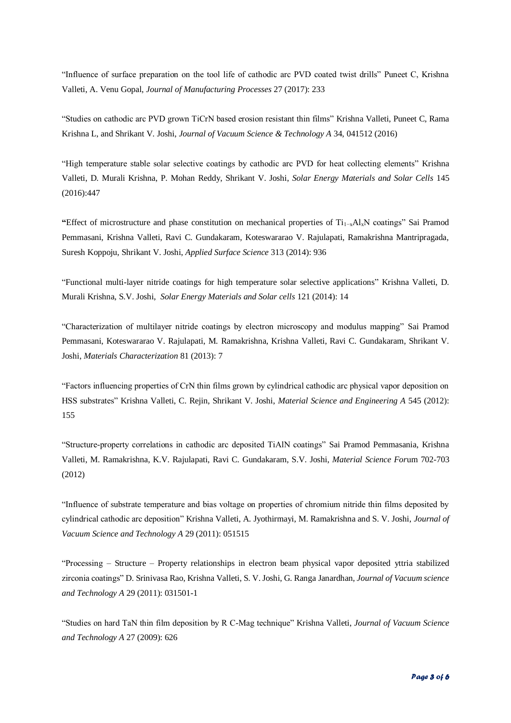"Influence of surface preparation on the tool life of cathodic arc PVD coated twist drills" Puneet C, Krishna Valleti, A. Venu Gopal, *Journal of Manufacturing Processes* 27 (2017): 233

"Studies on cathodic arc PVD grown TiCrN based erosion resistant thin films" Krishna Valleti, Puneet C, Rama Krishna L, and Shrikant V. Joshi, *Journal of Vacuum Science & Technology A* 34, 041512 (2016)

"High temperature stable solar selective coatings by cathodic arc PVD for heat collecting elements" Krishna Valleti, D. Murali Krishna, P. Mohan Reddy, Shrikant V. Joshi, *Solar Energy Materials and Solar Cells* 145 (2016):447

**"**Effect of microstructure and phase constitution on mechanical properties of Ti1−xAlxN coatings" Sai Pramod Pemmasani, Krishna Valleti, Ravi C. Gundakaram, Koteswararao V. Rajulapati, Ramakrishna Mantripragada, Suresh Koppoju, Shrikant V. Joshi, *Applied Surface Science* 313 (2014): 936

["Functional multi-layer nitride coatings for high temperature solar selective applications"](http://www.scopus.com/record/display.url?eid=2-s2.0-84896500798&origin=resultslist&sort=plf-f&src=s&st1=valleti+k&sid=B4BD2AB729DD72262DB98F188050CED5.f594dyPDCy4K3aQHRor6A%3a90&sot=b&sdt=b&sl=22&s=AUTHOR-NAME%28valleti+k%29&relpos=1&relpos=1&citeCnt=6&searchTerm=AUTHOR-NAME%28valleti+k%29) Krishna Valleti, D. Murali Krishna, S.V. Joshi, *Solar Energy Materials and Solar cells* 121 (2014): 14

"Characterization of multilayer nitride coatings by electron microscopy and modulus mapping" Sai Pramod Pemmasani, Koteswararao V. Rajulapati, M. Ramakrishna, Krishna Valleti, Ravi C. Gundakaram, Shrikant V. Joshi, *Materials Characterization* 81 (2013): 7

"Factors influencing properties of CrN thin films grown by cylindrical cathodic arc physical vapor deposition on HSS substrates" Krishna Valleti, C. Rejin, Shrikant V. Joshi, *Material Science and Engineering A* 545 (2012): 155

"Structure-property correlations in cathodic arc deposited TiAlN coatings" Sai Pramod Pemmasania, Krishna Valleti, M. Ramakrishna, K.V. Rajulapati, Ravi C. Gundakaram, S.V. Joshi, *Material Science For*um 702-703 (2012)

"Influence of substrate temperature and bias voltage on properties of chromium nitride thin films deposited by cylindrical cathodic arc deposition" Krishna Valleti, A. Jyothirmayi, M. Ramakrishna and S. V. Joshi, *Journal of Vacuum Science and Technology A* 29 (2011): 051515

"Processing – Structure – Property relationships in electron beam physical vapor deposited yttria stabilized zirconia coatings" D. Srinivasa Rao, Krishna Valleti, S. V. Joshi, G. Ranga Janardhan, *Journal of Vacuum science and Technology A* 29 (2011): 031501-1

"Studies on hard TaN thin film deposition by R C-Mag technique" Krishna Valleti, *Journal of Vacuum Science and Technology A* 27 (2009): 626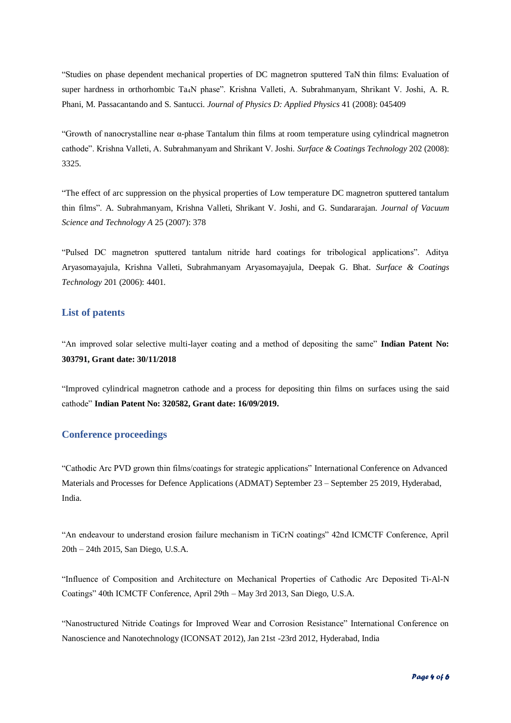"Studies on phase dependent mechanical properties of DC magnetron sputtered TaN thin films: Evaluation of super hardness in orthorhombic Ta4N phase". Krishna Valleti, A. Subrahmanyam, Shrikant V. Joshi, A. R. Phani, M. Passacantando and S. Santucci*. Journal of Physics D: Applied Physics* 41 (2008): 045409

"Growth of nanocrystalline near α-phase Tantalum thin films at room temperature using cylindrical magnetron cathode". Krishna Valleti, A. Subrahmanyam and Shrikant V. Joshi. *Surface & Coatings Technology* 202 (2008): 3325.

"The effect of arc suppression on the physical properties of Low temperature DC magnetron sputtered tantalum thin films". A. Subrahmanyam, Krishna Valleti, Shrikant V. Joshi, and G. Sundararajan. *Journal of Vacuum Science and Technology A* 25 (2007): 378

"Pulsed DC magnetron sputtered tantalum nitride hard coatings for tribological applications". Aditya Aryasomayajula, Krishna Valleti, Subrahmanyam Aryasomayajula, Deepak G. Bhat. *Surface & Coatings Technology* 201 (2006): 4401.

### **List of patents**

"An improved solar selective multi-layer coating and a method of depositing the same" **Indian Patent No: 303791, Grant date: 30/11/2018**

"Improved cylindrical magnetron cathode and a process for depositing thin films on surfaces using the said cathode" **Indian Patent No: 320582, Grant date: 16/09/2019.**

#### **Conference proceedings**

"Cathodic Arc PVD grown thin films/coatings for strategic applications" International Conference on Advanced Materials and Processes for Defence Applications (ADMAT) September 23 – September 25 2019, Hyderabad, India.

"An endeavour to understand erosion failure mechanism in TiCrN coatings" 42nd ICMCTF Conference, April 20th – 24th 2015, San Diego, U.S.A.

"Influence of Composition and Architecture on Mechanical Properties of Cathodic Arc Deposited Ti-Al-N Coatings" 40th ICMCTF Conference, April 29th – May 3rd 2013, San Diego, U.S.A.

"Nanostructured Nitride Coatings for Improved Wear and Corrosion Resistance" International Conference on Nanoscience and Nanotechnology (ICONSAT 2012), Jan 21st -23rd 2012, Hyderabad, India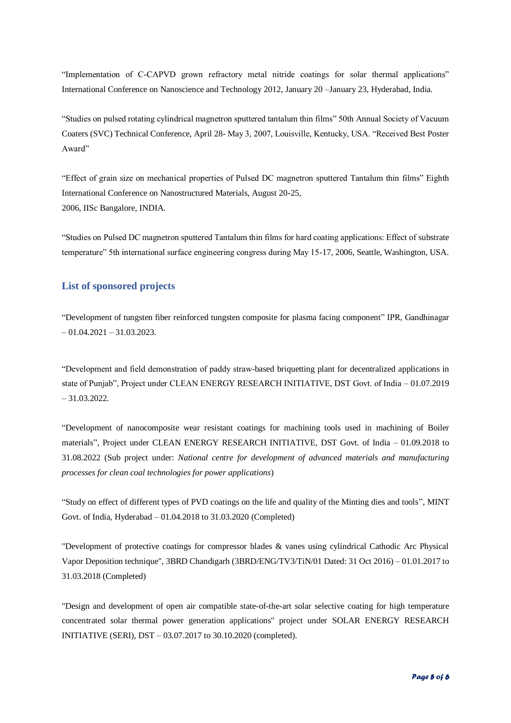"Implementation of C-CAPVD grown refractory metal nitride coatings for solar thermal applications" International Conference on Nanoscience and Technology 2012, January 20 –January 23, Hyderabad, India.

"Studies on pulsed rotating cylindrical magnetron sputtered tantalum thin films" 50th Annual Society of Vacuum Coaters (SVC) Technical Conference, April 28- May 3, 2007, Louisville, Kentucky, USA. "Received Best Poster Award"

"Effect of grain size on mechanical properties of Pulsed DC magnetron sputtered Tantalum thin films" Eighth International Conference on Nanostructured Materials, August 20-25, 2006, IISc Bangalore, INDIA.

"Studies on Pulsed DC magnetron sputtered Tantalum thin films for hard coating applications: Effect of substrate temperature" 5th international surface engineering congress during May 15-17, 2006, Seattle, Washington, USA.

### **List of sponsored projects**

"Development of tungsten fiber reinforced tungsten composite for plasma facing component" IPR, Gandhinagar  $-01.04.2021 - 31.03.2023.$ 

"Development and field demonstration of paddy straw-based briquetting plant for decentralized applications in state of Punjab", Project under CLEAN ENERGY RESEARCH INITIATIVE, DST Govt. of India – 01.07.2019 – 31.03.2022.

"Development of nanocomposite wear resistant coatings for machining tools used in machining of Boiler materials", Project under CLEAN ENERGY RESEARCH INITIATIVE, DST Govt. of India – 01.09.2018 to 31.08.2022 (Sub project under: *National centre for development of advanced materials and manufacturing processes for clean coal technologies for power applications*)

"Study on effect of different types of PVD coatings on the life and quality of the Minting dies and tools", MINT Govt. of India, Hyderabad – 01.04.2018 to 31.03.2020 (Completed)

"Development of protective coatings for compressor blades & vanes using cylindrical Cathodic Arc Physical Vapor Deposition technique", 3BRD Chandigarh (3BRD/ENG/TV3/TiN/01 Dated: 31 Oct 2016) – 01.01.2017 to 31.03.2018 (Completed)

"Design and development of open air compatible state-of-the-art solar selective coating for high temperature concentrated solar thermal power generation applications" project under SOLAR ENERGY RESEARCH INITIATIVE (SERI), DST – 03.07.2017 to 30.10.2020 (completed).